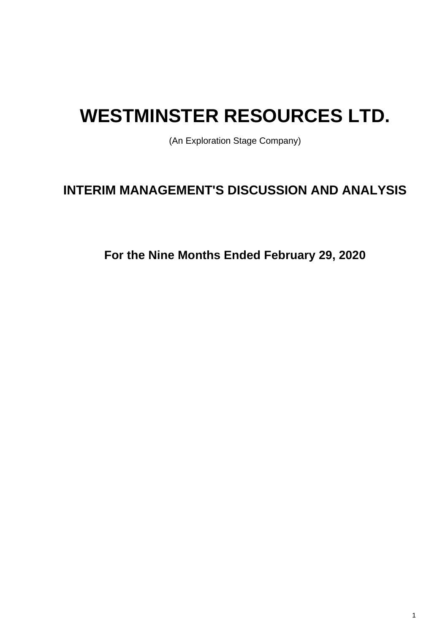# **WESTMINSTER RESOURCES LTD.**

(An Exploration Stage Company)

# **INTERIM MANAGEMENT'S DISCUSSION AND ANALYSIS**

**For the Nine Months Ended February 29, 2020**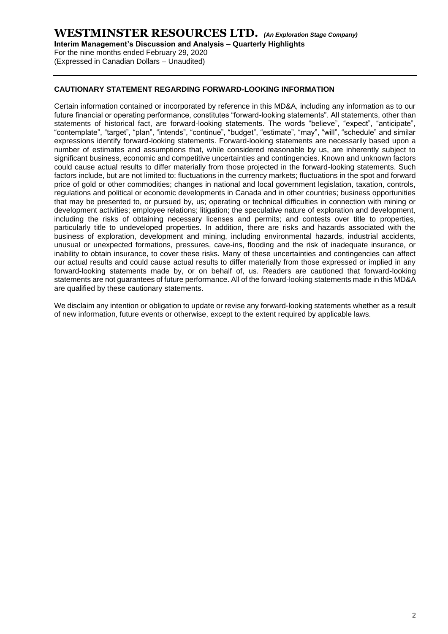### **WESTMINSTER RESOURCES LTD.** *(An Exploration Stage Company)*

**Interim Management's Discussion and Analysis – Quarterly Highlights**

For the nine months ended February 29, 2020 (Expressed in Canadian Dollars – Unaudited)

### **CAUTIONARY STATEMENT REGARDING FORWARD-LOOKING INFORMATION**

Certain information contained or incorporated by reference in this MD&A, including any information as to our future financial or operating performance, constitutes "forward-looking statements". All statements, other than statements of historical fact, are forward-looking statements. The words "believe", "expect", "anticipate", "contemplate", "target", "plan", "intends", "continue", "budget", "estimate", "may", "will", "schedule" and similar expressions identify forward-looking statements. Forward-looking statements are necessarily based upon a number of estimates and assumptions that, while considered reasonable by us, are inherently subject to significant business, economic and competitive uncertainties and contingencies. Known and unknown factors could cause actual results to differ materially from those projected in the forward-looking statements. Such factors include, but are not limited to: fluctuations in the currency markets; fluctuations in the spot and forward price of gold or other commodities; changes in national and local government legislation, taxation, controls, regulations and political or economic developments in Canada and in other countries; business opportunities that may be presented to, or pursued by, us; operating or technical difficulties in connection with mining or development activities; employee relations; litigation; the speculative nature of exploration and development, including the risks of obtaining necessary licenses and permits; and contests over title to properties, particularly title to undeveloped properties. In addition, there are risks and hazards associated with the business of exploration, development and mining, including environmental hazards, industrial accidents, unusual or unexpected formations, pressures, cave-ins, flooding and the risk of inadequate insurance, or inability to obtain insurance, to cover these risks. Many of these uncertainties and contingencies can affect our actual results and could cause actual results to differ materially from those expressed or implied in any forward-looking statements made by, or on behalf of, us. Readers are cautioned that forward-looking statements are not guarantees of future performance. All of the forward-looking statements made in this MD&A are qualified by these cautionary statements.

We disclaim any intention or obligation to update or revise any forward-looking statements whether as a result of new information, future events or otherwise, except to the extent required by applicable laws.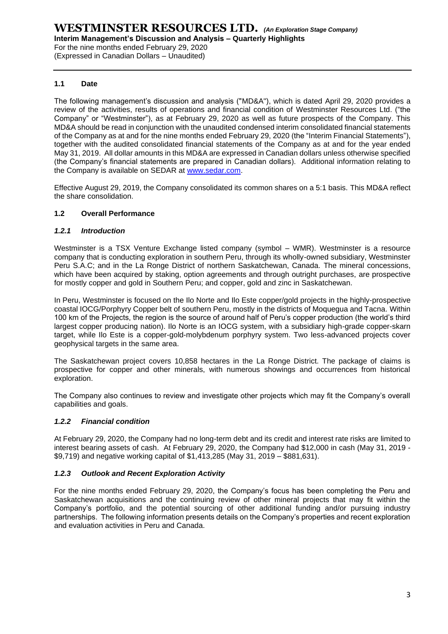**Interim Management's Discussion and Analysis – Quarterly Highlights**

For the nine months ended February 29, 2020 (Expressed in Canadian Dollars – Unaudited)

### **1.1 Date**

The following management's discussion and analysis ("MD&A"), which is dated April 29, 2020 provides a review of the activities, results of operations and financial condition of Westminster Resources Ltd. ("the Company" or "Westminster"), as at February 29, 2020 as well as future prospects of the Company. This MD&A should be read in conjunction with the unaudited condensed interim consolidated financial statements of the Company as at and for the nine months ended February 29, 2020 (the "Interim Financial Statements"), together with the audited consolidated financial statements of the Company as at and for the year ended May 31, 2019. All dollar amounts in this MD&A are expressed in Canadian dollars unless otherwise specified (the Company's financial statements are prepared in Canadian dollars). Additional information relating to the Company is available on SEDAR at [www.sedar.com.](http://www.sedar.com/)

Effective August 29, 2019, the Company consolidated its common shares on a 5:1 basis. This MD&A reflect the share consolidation.

### **1.2 Overall Performance**

### *1.2.1 Introduction*

Westminster is a TSX Venture Exchange listed company (symbol – WMR). Westminster is a resource company that is conducting exploration in southern Peru, through its wholly-owned subsidiary, Westminster Peru S.A.C; and in the La Ronge District of northern Saskatchewan, Canada. The mineral concessions, which have been acquired by staking, option agreements and through outright purchases, are prospective for mostly copper and gold in Southern Peru; and copper, gold and zinc in Saskatchewan.

In Peru, Westminster is focused on the Ilo Norte and Ilo Este copper/gold projects in the highly-prospective coastal IOCG/Porphyry Copper belt of southern Peru, mostly in the districts of Moquegua and Tacna. Within 100 km of the Projects, the region is the source of around half of Peru's copper production (the world's third largest copper producing nation). Ilo Norte is an IOCG system, with a subsidiary high-grade copper-skarn target, while Ilo Este is a copper-gold-molybdenum porphyry system. Two less-advanced projects cover geophysical targets in the same area.

The Saskatchewan project covers 10,858 hectares in the La Ronge District. The package of claims is prospective for copper and other minerals, with numerous showings and occurrences from historical exploration.

The Company also continues to review and investigate other projects which may fit the Company's overall capabilities and goals.

### *1.2.2 Financial condition*

At February 29, 2020, the Company had no long-term debt and its credit and interest rate risks are limited to interest bearing assets of cash. At February 29, 2020, the Company had \$12,000 in cash (May 31, 2019 - \$9,719) and negative working capital of \$1,413,285 (May 31, 2019 – \$881,631).

### *1.2.3 Outlook and Recent Exploration Activity*

For the nine months ended February 29, 2020, the Company's focus has been completing the Peru and Saskatchewan acquisitions and the continuing review of other mineral projects that may fit within the Company's portfolio, and the potential sourcing of other additional funding and/or pursuing industry partnerships. The following information presents details on the Company's properties and recent exploration and evaluation activities in Peru and Canada.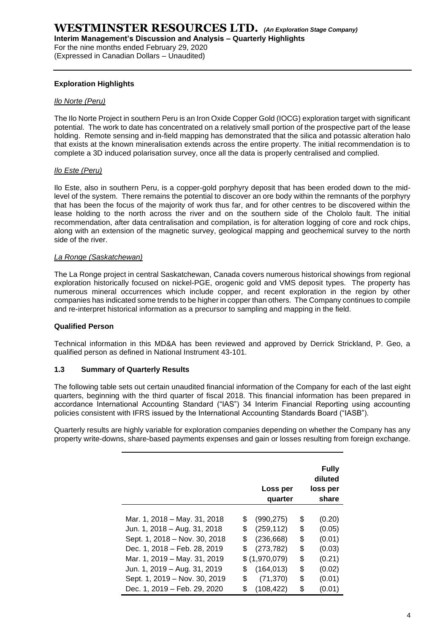**Interim Management's Discussion and Analysis – Quarterly Highlights**

For the nine months ended February 29, 2020 (Expressed in Canadian Dollars – Unaudited)

### **Exploration Highlights**

### *Ilo Norte (Peru)*

The Ilo Norte Project in southern Peru is an Iron Oxide Copper Gold (IOCG) exploration target with significant potential. The work to date has concentrated on a relatively small portion of the prospective part of the lease holding. Remote sensing and in-field mapping has demonstrated that the silica and potassic alteration halo that exists at the known mineralisation extends across the entire property. The initial recommendation is to complete a 3D induced polarisation survey, once all the data is properly centralised and complied.

### *Ilo Este (Peru)*

Ilo Este, also in southern Peru, is a copper-gold porphyry deposit that has been eroded down to the midlevel of the system. There remains the potential to discover an ore body within the remnants of the porphyry that has been the focus of the majority of work thus far, and for other centres to be discovered within the lease holding to the north across the river and on the southern side of the Chololo fault. The initial recommendation, after data centralisation and compilation, is for alteration logging of core and rock chips, along with an extension of the magnetic survey, geological mapping and geochemical survey to the north side of the river.

### *La Ronge (Saskatchewan)*

The La Ronge project in central Saskatchewan, Canada covers numerous historical showings from regional exploration historically focused on nickel-PGE, orogenic gold and VMS deposit types. The property has numerous mineral occurrences which include copper, and recent exploration in the region by other companies has indicated some trends to be higher in copper than others. The Company continues to compile and re-interpret historical information as a precursor to sampling and mapping in the field.

### **Qualified Person**

Technical information in this MD&A has been reviewed and approved by Derrick Strickland, P. Geo, a qualified person as defined in National Instrument 43-101.

### **1.3 Summary of Quarterly Results**

The following table sets out certain unaudited financial information of the Company for each of the last eight quarters, beginning with the third quarter of fiscal 2018. This financial information has been prepared in accordance International Accounting Standard ("IAS") 34 Interim Financial Reporting using accounting policies consistent with IFRS issued by the International Accounting Standards Board ("IASB").

Quarterly results are highly variable for exploration companies depending on whether the Company has any property write-downs, share-based payments expenses and gain or losses resulting from foreign exchange.

|                               | Loss per<br>quarter | <b>Fully</b><br>diluted<br>loss per<br>share |
|-------------------------------|---------------------|----------------------------------------------|
| Mar. 1, 2018 - May. 31, 2018  | \$<br>(990, 275)    | \$<br>(0.20)                                 |
| Jun. 1, 2018 - Aug. 31, 2018  | \$<br>(259, 112)    | \$<br>(0.05)                                 |
| Sept. 1, 2018 - Nov. 30, 2018 | \$<br>(236, 668)    | \$<br>(0.01)                                 |
| Dec. 1, 2018 - Feb. 28, 2019  | \$<br>(273, 782)    | \$<br>(0.03)                                 |
| Mar. 1, 2019 - May. 31, 2019  | \$(1,970,079)       | \$<br>(0.21)                                 |
| Jun. 1, 2019 - Aug. 31, 2019  | \$<br>(164, 013)    | \$<br>(0.02)                                 |
| Sept. 1, 2019 - Nov. 30, 2019 | \$<br>(71, 370)     | \$<br>(0.01)                                 |
| Dec. 1, 2019 - Feb. 29, 2020  | \$<br>(108, 422)    | \$<br>(0.01)                                 |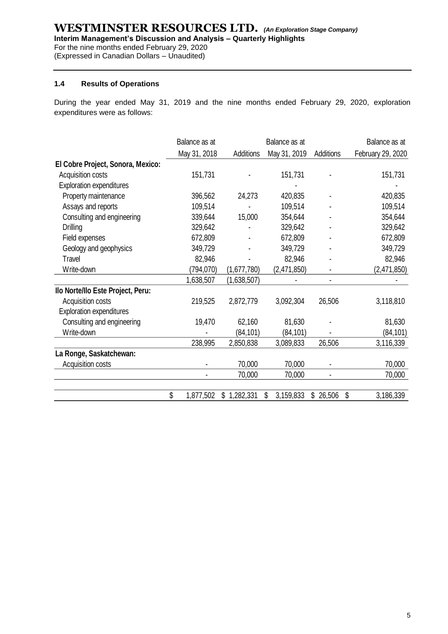## **WESTMINSTER RESOURCES LTD.** *(An Exploration Stage Company)*

**Interim Management's Discussion and Analysis – Quarterly Highlights**

For the nine months ended February 29, 2020

(Expressed in Canadian Dollars – Unaudited)

### **1.4 Results of Operations**

During the year ended May 31, 2019 and the nine months ended February 29, 2020, exploration expenditures were as follows:

|                                   | Balance as at   |             | Balance as at   |           | Balance as at     |
|-----------------------------------|-----------------|-------------|-----------------|-----------|-------------------|
|                                   | May 31, 2018    | Additions   | May 31, 2019    | Additions | February 29, 2020 |
| El Cobre Project, Sonora, Mexico: |                 |             |                 |           |                   |
| Acquisition costs                 | 151,731         |             | 151,731         |           | 151,731           |
| Exploration expenditures          |                 |             |                 |           |                   |
| Property maintenance              | 396,562         | 24,273      | 420,835         |           | 420,835           |
| Assays and reports                | 109,514         |             | 109,514         |           | 109,514           |
| Consulting and engineering        | 339,644         | 15,000      | 354,644         |           | 354,644           |
| <b>Drilling</b>                   | 329,642         |             | 329,642         |           | 329,642           |
| Field expenses                    | 672,809         |             | 672,809         |           | 672,809           |
| Geology and geophysics            | 349,729         |             | 349,729         |           | 349,729           |
| Travel                            | 82,946          |             | 82,946          |           | 82,946            |
| Write-down                        | (794,070)       | (1,677,780) | (2,471,850)     |           | (2,471,850)       |
|                                   | 1,638,507       | (1,638,507) |                 |           |                   |
| Ilo Norte/Ilo Este Project, Peru: |                 |             |                 |           |                   |
| Acquisition costs                 | 219,525         | 2,872,779   | 3,092,304       | 26,506    | 3,118,810         |
| <b>Exploration expenditures</b>   |                 |             |                 |           |                   |
| Consulting and engineering        | 19,470          | 62,160      | 81,630          |           | 81,630            |
| Write-down                        |                 | (84, 101)   | (84, 101)       |           | (84, 101)         |
|                                   | 238,995         | 2,850,838   | 3,089,833       | 26,506    | 3,116,339         |
| La Ronge, Saskatchewan:           |                 |             |                 |           |                   |
| Acquisition costs                 |                 | 70,000      | 70,000          |           | 70,000            |
|                                   |                 | 70,000      | 70,000          |           | 70,000            |
|                                   | \$<br>1,877,502 | \$1,282,331 | \$<br>3,159,833 | \$26,506  | \$<br>3,186,339   |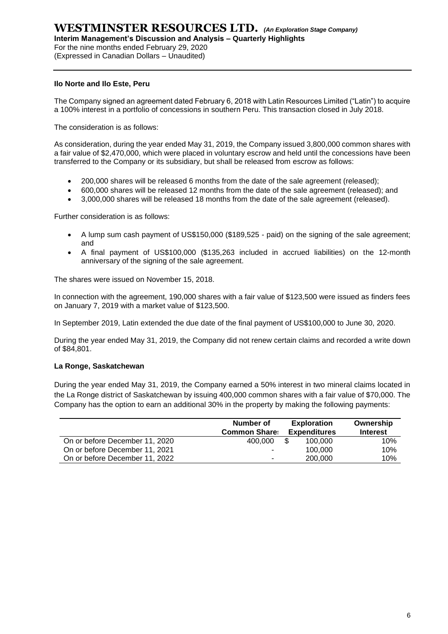# **WESTMINSTER RESOURCES LTD.** *(An Exploration Stage Company)*

**Interim Management's Discussion and Analysis – Quarterly Highlights**

For the nine months ended February 29, 2020

### (Expressed in Canadian Dollars – Unaudited)

### **Ilo Norte and Ilo Este, Peru**

The Company signed an agreement dated February 6, 2018 with Latin Resources Limited ("Latin") to acquire a 100% interest in a portfolio of concessions in southern Peru. This transaction closed in July 2018.

The consideration is as follows:

As consideration, during the year ended May 31, 2019, the Company issued 3,800,000 common shares with a fair value of \$2,470,000, which were placed in voluntary escrow and held until the concessions have been transferred to the Company or its subsidiary, but shall be released from escrow as follows:

- 200,000 shares will be released 6 months from the date of the sale agreement (released);
- 600,000 shares will be released 12 months from the date of the sale agreement (released); and
- 3,000,000 shares will be released 18 months from the date of the sale agreement (released).

Further consideration is as follows:

- A lump sum cash payment of US\$150,000 (\$189,525 paid) on the signing of the sale agreement; and
- A final payment of US\$100,000 (\$135,263 included in accrued liabilities) on the 12-month anniversary of the signing of the sale agreement.

The shares were issued on November 15, 2018.

In connection with the agreement, 190,000 shares with a fair value of \$123,500 were issued as finders fees on January 7, 2019 with a market value of \$123,500.

In September 2019, Latin extended the due date of the final payment of US\$100,000 to June 30, 2020.

During the year ended May 31, 2019, the Company did not renew certain claims and recorded a write down of \$84,801.

### **La Ronge, Saskatchewan**

During the year ended May 31, 2019, the Company earned a 50% interest in two mineral claims located in the La Ronge district of Saskatchewan by issuing 400,000 common shares with a fair value of \$70,000. The Company has the option to earn an additional 30% in the property by making the following payments:

|                                | Number of<br><b>Common Share:</b> |     | <b>Exploration</b><br><b>Expenditures</b> | Ownership<br><b>Interest</b> |
|--------------------------------|-----------------------------------|-----|-------------------------------------------|------------------------------|
| On or before December 11, 2020 | 400.000                           | \$. | 100.000                                   | 10%                          |
| On or before December 11, 2021 | ۰.                                |     | 100.000                                   | 10%                          |
| On or before December 11, 2022 | $\sim$                            |     | 200,000                                   | 10%                          |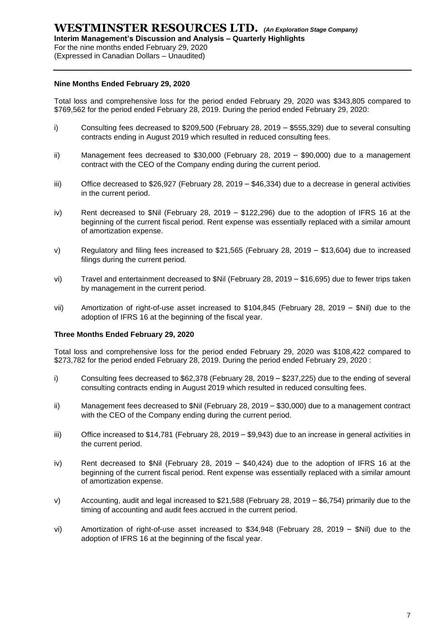For the nine months ended February 29, 2020

(Expressed in Canadian Dollars – Unaudited)

### **Nine Months Ended February 29, 2020**

Total loss and comprehensive loss for the period ended February 29, 2020 was \$343,805 compared to \$769,562 for the period ended February 28, 2019. During the period ended February 29, 2020:

- i) Consulting fees decreased to \$209,500 (February 28, 2019 \$555,329) due to several consulting contracts ending in August 2019 which resulted in reduced consulting fees.
- ii) Management fees decreased to \$30,000 (February 28, 2019 \$90,000) due to a management contract with the CEO of the Company ending during the current period.
- iii) Office decreased to \$26,927 (February 28, 2019 \$46,334) due to a decrease in general activities in the current period.
- iv) Rent decreased to \$Nil (February 28, 2019 \$122,296) due to the adoption of IFRS 16 at the beginning of the current fiscal period. Rent expense was essentially replaced with a similar amount of amortization expense.
- v) Regulatory and filing fees increased to \$21,565 (February 28, 2019 \$13,604) due to increased filings during the current period.
- vi) Travel and entertainment decreased to \$Nil (February 28, 2019 \$16,695) due to fewer trips taken by management in the current period.
- vii) Amortization of right-of-use asset increased to \$104,845 (February 28, 2019 \$Nil) due to the adoption of IFRS 16 at the beginning of the fiscal year.

### **Three Months Ended February 29, 2020**

Total loss and comprehensive loss for the period ended February 29, 2020 was \$108,422 compared to \$273,782 for the period ended February 28, 2019. During the period ended February 29, 2020 :

- i) Consulting fees decreased to \$62,378 (February 28, 2019 \$237,225) due to the ending of several consulting contracts ending in August 2019 which resulted in reduced consulting fees.
- ii) Management fees decreased to \$Nil (February 28, 2019 \$30,000) due to a management contract with the CEO of the Company ending during the current period.
- iii) Office increased to \$14,781 (February 28, 2019 \$9,943) due to an increase in general activities in the current period.
- iv) Rent decreased to \$Nil (February 28, 2019 \$40,424) due to the adoption of IFRS 16 at the beginning of the current fiscal period. Rent expense was essentially replaced with a similar amount of amortization expense.
- v) Accounting, audit and legal increased to \$21,588 (February 28, 2019 \$6,754) primarily due to the timing of accounting and audit fees accrued in the current period.
- vi) Amortization of right-of-use asset increased to \$34,948 (February 28, 2019 \$Nil) due to the adoption of IFRS 16 at the beginning of the fiscal year.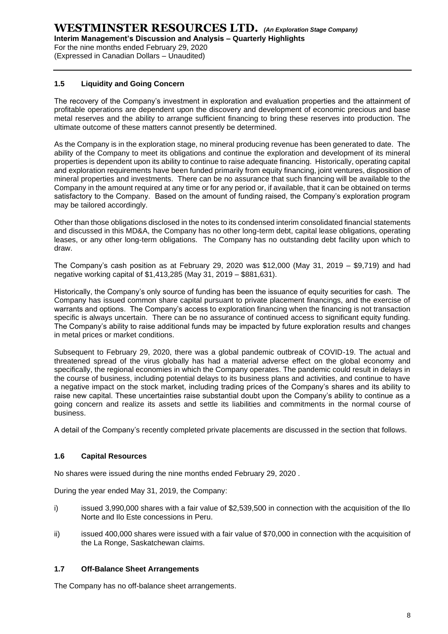(Expressed in Canadian Dollars – Unaudited)

### **1.5 Liquidity and Going Concern**

The recovery of the Company's investment in exploration and evaluation properties and the attainment of profitable operations are dependent upon the discovery and development of economic precious and base metal reserves and the ability to arrange sufficient financing to bring these reserves into production. The ultimate outcome of these matters cannot presently be determined.

As the Company is in the exploration stage, no mineral producing revenue has been generated to date. The ability of the Company to meet its obligations and continue the exploration and development of its mineral properties is dependent upon its ability to continue to raise adequate financing. Historically, operating capital and exploration requirements have been funded primarily from equity financing, joint ventures, disposition of mineral properties and investments. There can be no assurance that such financing will be available to the Company in the amount required at any time or for any period or, if available, that it can be obtained on terms satisfactory to the Company. Based on the amount of funding raised, the Company's exploration program may be tailored accordingly.

Other than those obligations disclosed in the notes to its condensed interim consolidated financial statements and discussed in this MD&A, the Company has no other long-term debt, capital lease obligations, operating leases, or any other long-term obligations. The Company has no outstanding debt facility upon which to draw.

The Company's cash position as at February 29, 2020 was \$12,000 (May 31, 2019 – \$9,719) and had negative working capital of \$1,413,285 (May 31, 2019 – \$881,631).

Historically, the Company's only source of funding has been the issuance of equity securities for cash. The Company has issued common share capital pursuant to private placement financings, and the exercise of warrants and options. The Company's access to exploration financing when the financing is not transaction specific is always uncertain. There can be no assurance of continued access to significant equity funding. The Company's ability to raise additional funds may be impacted by future exploration results and changes in metal prices or market conditions.

Subsequent to February 29, 2020, there was a global pandemic outbreak of COVID-19. The actual and threatened spread of the virus globally has had a material adverse effect on the global economy and specifically, the regional economies in which the Company operates. The pandemic could result in delays in the course of business, including potential delays to its business plans and activities, and continue to have a negative impact on the stock market, including trading prices of the Company's shares and its ability to raise new capital. These uncertainties raise substantial doubt upon the Company's ability to continue as a going concern and realize its assets and settle its liabilities and commitments in the normal course of business.

A detail of the Company's recently completed private placements are discussed in the section that follows.

### **1.6 Capital Resources**

No shares were issued during the nine months ended February 29, 2020 .

During the year ended May 31, 2019, the Company:

- i) issued 3,990,000 shares with a fair value of \$2,539,500 in connection with the acquisition of the Ilo Norte and Ilo Este concessions in Peru.
- ii) issued 400,000 shares were issued with a fair value of \$70,000 in connection with the acquisition of the La Ronge, Saskatchewan claims.

### **1.7 Off-Balance Sheet Arrangements**

The Company has no off-balance sheet arrangements.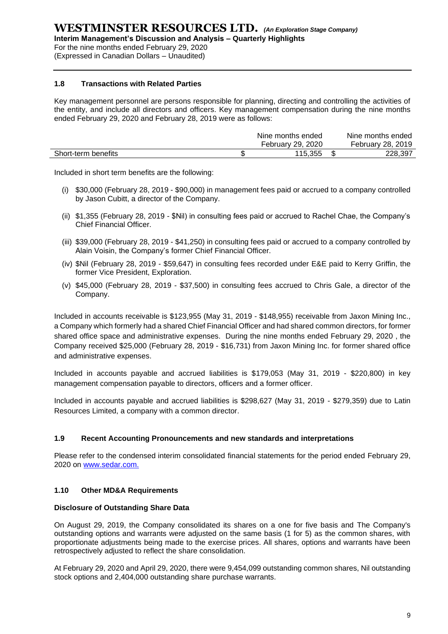For the nine months ended February 29, 2020

(Expressed in Canadian Dollars – Unaudited)

### **1.8 Transactions with Related Parties**

Key management personnel are persons responsible for planning, directing and controlling the activities of the entity, and include all directors and officers. Key management compensation during the nine months ended February 29, 2020 and February 28, 2019 were as follows:

|                     | Nine months ended | Nine months ended |
|---------------------|-------------------|-------------------|
|                     | February 29, 2020 | February 28, 2019 |
| Short-term benefits | 115.355           | 228,397           |

Included in short term benefits are the following:

- (i) \$30,000 (February 28, 2019 \$90,000) in management fees paid or accrued to a company controlled by Jason Cubitt, a director of the Company.
- (ii) \$1,355 (February 28, 2019 \$Nil) in consulting fees paid or accrued to Rachel Chae, the Company's Chief Financial Officer.
- (iii) \$39,000 (February 28, 2019 \$41,250) in consulting fees paid or accrued to a company controlled by Alain Voisin, the Company's former Chief Financial Officer.
- (iv) \$Nil (February 28, 2019 \$59,647) in consulting fees recorded under E&E paid to Kerry Griffin, the former Vice President, Exploration.
- (v) \$45,000 (February 28, 2019 \$37,500) in consulting fees accrued to Chris Gale, a director of the Company.

Included in accounts receivable is \$123,955 (May 31, 2019 - \$148,955) receivable from Jaxon Mining Inc., a Company which formerly had a shared Chief Financial Officer and had shared common directors, for former shared office space and administrative expenses. During the nine months ended February 29, 2020 , the Company received \$25,000 (February 28, 2019 - \$16,731) from Jaxon Mining Inc. for former shared office and administrative expenses.

Included in accounts payable and accrued liabilities is \$179,053 (May 31, 2019 - \$220,800) in key management compensation payable to directors, officers and a former officer.

Included in accounts payable and accrued liabilities is \$298,627 (May 31, 2019 - \$279,359) due to Latin Resources Limited, a company with a common director.

### **1.9 Recent Accounting Pronouncements and new standards and interpretations**

Please refer to the condensed interim consolidated financial statements for the period ended February 29, 2020 on [www.sedar.com.](http://www.sedar.com/)

### **1.10 Other MD&A Requirements**

### **Disclosure of Outstanding Share Data**

On August 29, 2019, the Company consolidated its shares on a one for five basis and The Company's outstanding options and warrants were adjusted on the same basis (1 for 5) as the common shares, with proportionate adjustments being made to the exercise prices. All shares, options and warrants have been retrospectively adjusted to reflect the share consolidation.

At February 29, 2020 and April 29, 2020, there were 9,454,099 outstanding common shares, Nil outstanding stock options and 2,404,000 outstanding share purchase warrants.